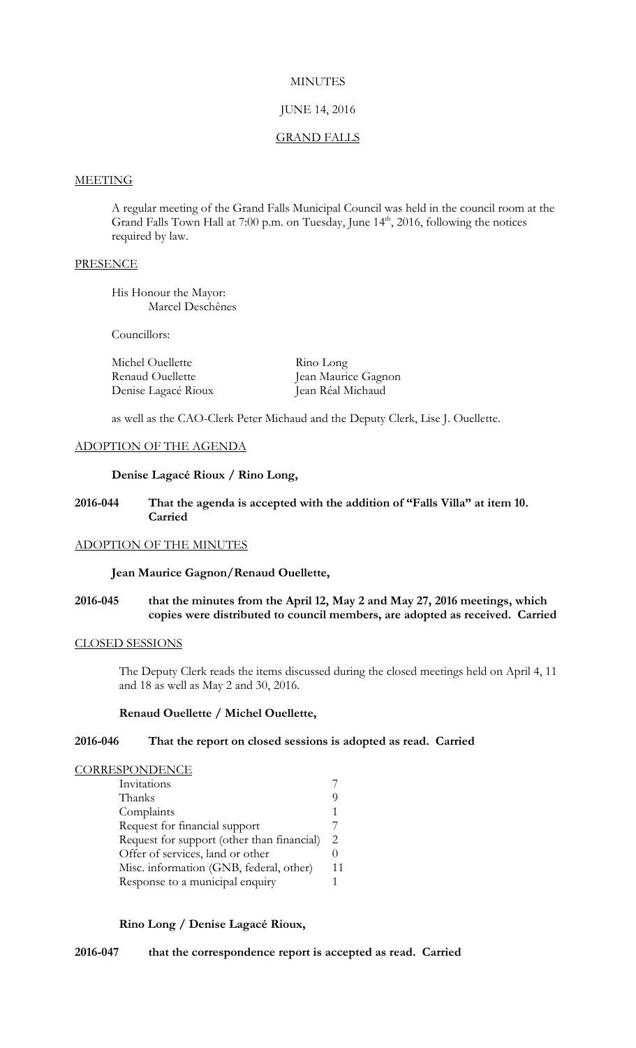## **MINUTES**

# JUNE 14, 2016

## GRAND FALLS

#### **MEETING**

A regular meeting of the Grand Falls Municipal Council was held in the council room at the Grand Falls Town Hall at 7:00 p.m. on Tuesday, June 14<sup>th</sup>, 2016, following the notices required by law.

## **PRESENCE**

His Honour the Mayor: Marcel Deschênes

Councillors:

| Michel Ouellette    | Rino Long           |
|---------------------|---------------------|
| Renaud Ouellette    | Jean Maurice Gagnon |
| Denise Lagacé Rioux | Jean Réal Michaud   |

as well as the CAO-Clerk Peter Michaud and the Deputy Clerk, Lise J. Ouellette.

# ADOPTION OF THE AGENDA

# **Denise Lagacé Rioux / Rino Long,**

## **2016-044 That the agenda is accepted with the addition of "Falls Villa" at item 10. Carried**

# ADOPTION OF THE MINUTES

# **Jean Maurice Gagnon/Renaud Ouellette,**

# **2016-045 that the minutes from the April 12, May 2 and May 27, 2016 meetings, which copies were distributed to council members, are adopted as received. Carried**

# CLOSED SESSIONS

The Deputy Clerk reads the items discussed during the closed meetings held on April 4, 11 and 18 as well as May 2 and 30, 2016.

## **Renaud Ouellette / Michel Ouellette,**

## **2016-046 That the report on closed sessions is adopted as read. Carried**

## **CORRESPONDENCE**

| Invitations                                |    |
|--------------------------------------------|----|
| Thanks                                     | U, |
| Complaints                                 |    |
| Request for financial support              |    |
| Request for support (other than financial) | 2. |
| Offer of services, land or other           |    |
| Misc. information (GNB, federal, other)    | 11 |
| Response to a municipal enquiry            |    |

# **Rino Long / Denise Lagacé Rioux,**

**2016-047 that the correspondence report is accepted as read. Carried**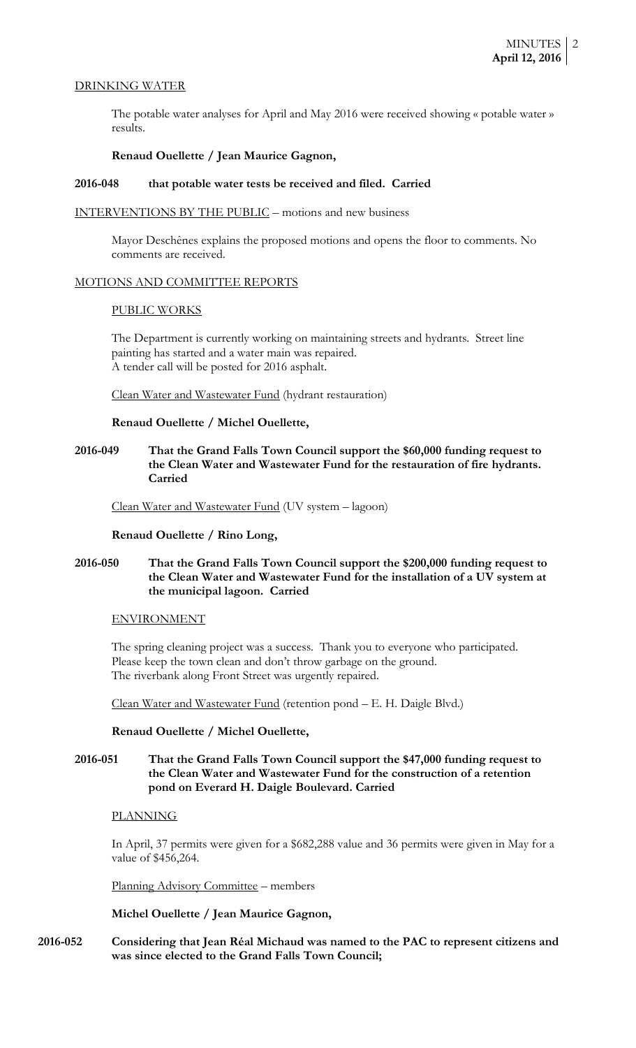#### DRINKING WATER

The potable water analyses for April and May 2016 were received showing « potable water » results.

## **Renaud Ouellette / Jean Maurice Gagnon,**

# **2016-048 that potable water tests be received and filed. Carried**

#### INTERVENTIONS BY THE PUBLIC – motions and new business

Mayor Deschênes explains the proposed motions and opens the floor to comments. No comments are received.

#### MOTIONS AND COMMITTEE REPORTS

#### PUBLIC WORKS

The Department is currently working on maintaining streets and hydrants. Street line painting has started and a water main was repaired. A tender call will be posted for 2016 asphalt.

Clean Water and Wastewater Fund (hydrant restauration)

#### **Renaud Ouellette / Michel Ouellette,**

# **2016-049 That the Grand Falls Town Council support the \$60,000 funding request to the Clean Water and Wastewater Fund for the restauration of fire hydrants. Carried**

Clean Water and Wastewater Fund (UV system – lagoon)

#### **Renaud Ouellette / Rino Long,**

# **2016-050 That the Grand Falls Town Council support the \$200,000 funding request to the Clean Water and Wastewater Fund for the installation of a UV system at the municipal lagoon. Carried**

#### ENVIRONMENT

The spring cleaning project was a success. Thank you to everyone who participated. Please keep the town clean and don't throw garbage on the ground. The riverbank along Front Street was urgently repaired.

Clean Water and Wastewater Fund (retention pond – E. H. Daigle Blvd.)

#### **Renaud Ouellette / Michel Ouellette,**

# **2016-051 That the Grand Falls Town Council support the \$47,000 funding request to the Clean Water and Wastewater Fund for the construction of a retention pond on Everard H. Daigle Boulevard. Carried**

# PLANNING

In April, 37 permits were given for a \$682,288 value and 36 permits were given in May for a value of \$456,264.

Planning Advisory Committee – members

## **Michel Ouellette / Jean Maurice Gagnon,**

**2016-052 Considering that Jean Réal Michaud was named to the PAC to represent citizens and was since elected to the Grand Falls Town Council;**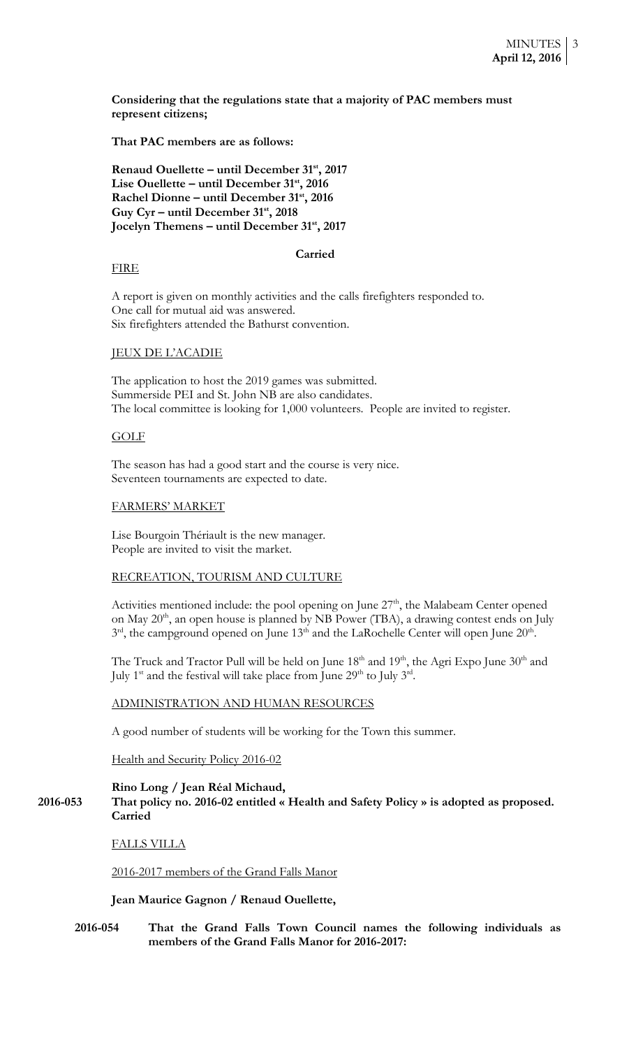**Considering that the regulations state that a majority of PAC members must represent citizens;**

**That PAC members are as follows:**

**Renaud Ouellette – until December 31st, 2017 Lise Ouellette – until December 31st, 2016 Rachel Dionne – until December 31st, 2016 Guy Cyr – until December 31st, 2018 Jocelyn Themens – until December 31st, 2017**

#### **Carried**

## FIRE

A report is given on monthly activities and the calls firefighters responded to. One call for mutual aid was answered. Six firefighters attended the Bathurst convention.

## JEUX DE L'ACADIE

The application to host the 2019 games was submitted. Summerside PEI and St. John NB are also candidates. The local committee is looking for 1,000 volunteers. People are invited to register.

# GOLF

The season has had a good start and the course is very nice. Seventeen tournaments are expected to date.

## FARMERS' MARKET

Lise Bourgoin Thériault is the new manager. People are invited to visit the market.

#### RECREATION, TOURISM AND CULTURE

Activities mentioned include: the pool opening on June  $27<sup>th</sup>$ , the Malabeam Center opened on May 20<sup>th</sup>, an open house is planned by NB Power (TBA), a drawing contest ends on July  $3<sup>rd</sup>$ , the campground opened on June 13<sup>th</sup> and the LaRochelle Center will open June 20<sup>th</sup>.

The Truck and Tractor Pull will be held on June  $18<sup>th</sup>$  and  $19<sup>th</sup>$ , the Agri Expo June  $30<sup>th</sup>$  and July 1<sup>st</sup> and the festival will take place from June  $29<sup>th</sup>$  to July 3<sup>rd</sup>.

#### ADMINISTRATION AND HUMAN RESOURCES

A good number of students will be working for the Town this summer.

Health and Security Policy 2016-02

## **Rino Long / Jean Réal Michaud,**

**2016-053 That policy no. 2016-02 entitled « Health and Safety Policy » is adopted as proposed. Carried**

FALLS VILLA

#### 2016-2017 members of the Grand Falls Manor

**Jean Maurice Gagnon / Renaud Ouellette,**

**2016-054 That the Grand Falls Town Council names the following individuals as members of the Grand Falls Manor for 2016-2017:**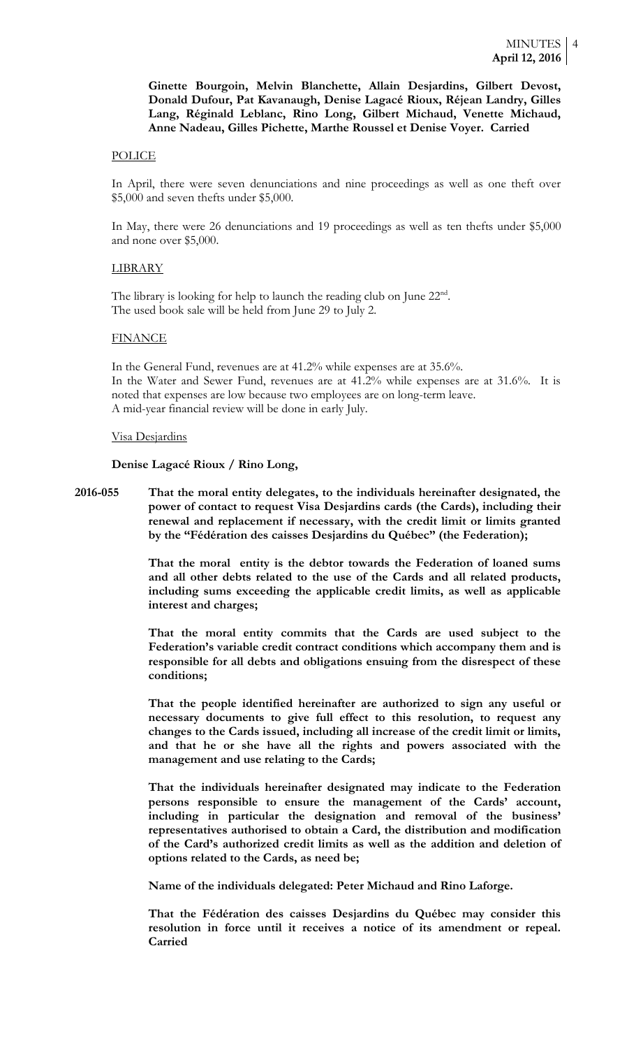**Ginette Bourgoin, Melvin Blanchette, Allain Desjardins, Gilbert Devost, Donald Dufour, Pat Kavanaugh, Denise Lagacé Rioux, Réjean Landry, Gilles Lang, Réginald Leblanc, Rino Long, Gilbert Michaud, Venette Michaud, Anne Nadeau, Gilles Pichette, Marthe Roussel et Denise Voyer. Carried**

#### POLICE

In April, there were seven denunciations and nine proceedings as well as one theft over \$5,000 and seven thefts under \$5,000.

In May, there were 26 denunciations and 19 proceedings as well as ten thefts under \$5,000 and none over \$5,000.

#### LIBRARY

The library is looking for help to launch the reading club on June 22<sup>nd</sup>. The used book sale will be held from June 29 to July 2.

#### **FINANCE**

In the General Fund, revenues are at 41.2% while expenses are at 35.6%. In the Water and Sewer Fund, revenues are at 41.2% while expenses are at 31.6%. It is noted that expenses are low because two employees are on long-term leave. A mid-year financial review will be done in early July.

#### Visa Desjardins

**Denise Lagacé Rioux / Rino Long,**

**2016-055 That the moral entity delegates, to the individuals hereinafter designated, the power of contact to request Visa Desjardins cards (the Cards), including their renewal and replacement if necessary, with the credit limit or limits granted by the "Fédération des caisses Desjardins du Québec" (the Federation);**

> **That the moral entity is the debtor towards the Federation of loaned sums and all other debts related to the use of the Cards and all related products, including sums exceeding the applicable credit limits, as well as applicable interest and charges;**

> **That the moral entity commits that the Cards are used subject to the Federation's variable credit contract conditions which accompany them and is responsible for all debts and obligations ensuing from the disrespect of these conditions;**

> **That the people identified hereinafter are authorized to sign any useful or necessary documents to give full effect to this resolution, to request any changes to the Cards issued, including all increase of the credit limit or limits, and that he or she have all the rights and powers associated with the management and use relating to the Cards;**

> **That the individuals hereinafter designated may indicate to the Federation persons responsible to ensure the management of the Cards' account, including in particular the designation and removal of the business' representatives authorised to obtain a Card, the distribution and modification of the Card's authorized credit limits as well as the addition and deletion of options related to the Cards, as need be;**

**Name of the individuals delegated: Peter Michaud and Rino Laforge.**

**That the Fédération des caisses Desjardins du Québec may consider this resolution in force until it receives a notice of its amendment or repeal. Carried**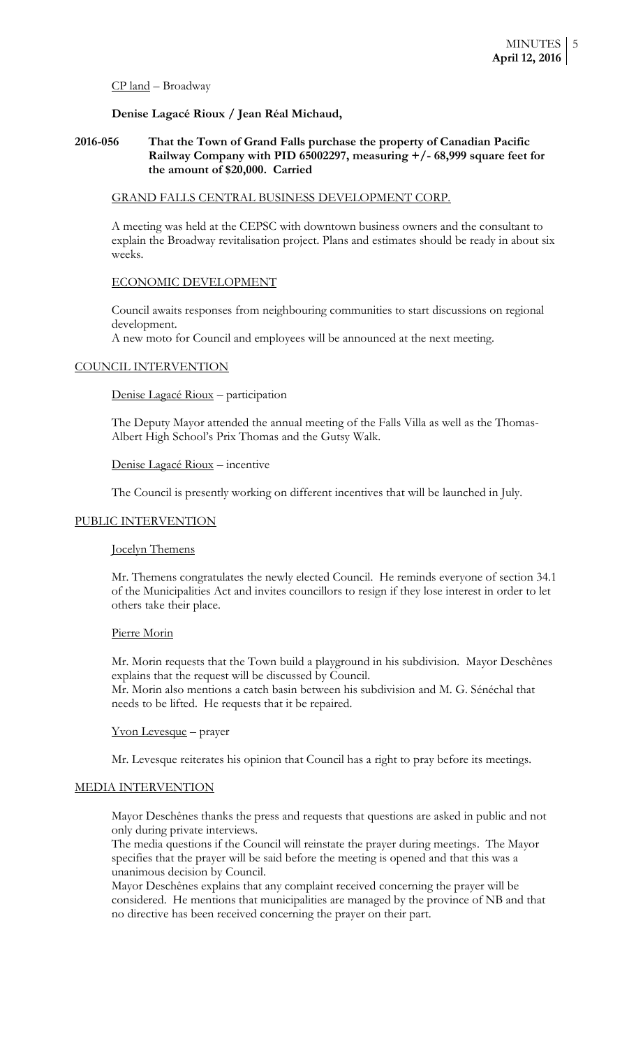#### CP land – Broadway

# **Denise Lagacé Rioux / Jean Réal Michaud,**

## **2016-056 That the Town of Grand Falls purchase the property of Canadian Pacific Railway Company with PID 65002297, measuring +/- 68,999 square feet for the amount of \$20,000. Carried**

#### GRAND FALLS CENTRAL BUSINESS DEVELOPMENT CORP.

A meeting was held at the CEPSC with downtown business owners and the consultant to explain the Broadway revitalisation project. Plans and estimates should be ready in about six weeks.

#### ECONOMIC DEVELOPMENT

Council awaits responses from neighbouring communities to start discussions on regional development.

A new moto for Council and employees will be announced at the next meeting.

#### COUNCIL INTERVENTION

Denise Lagacé Rioux – participation

The Deputy Mayor attended the annual meeting of the Falls Villa as well as the Thomas-Albert High School's Prix Thomas and the Gutsy Walk.

#### Denise Lagacé Rioux – incentive

The Council is presently working on different incentives that will be launched in July.

## PUBLIC INTERVENTION

#### Jocelyn Themens

Mr. Themens congratulates the newly elected Council. He reminds everyone of section 34.1 of the Municipalities Act and invites councillors to resign if they lose interest in order to let others take their place.

# Pierre Morin

Mr. Morin requests that the Town build a playground in his subdivision. Mayor Deschênes explains that the request will be discussed by Council. Mr. Morin also mentions a catch basin between his subdivision and M. G. Sénéchal that

needs to be lifted. He requests that it be repaired.

#### Yvon Levesque – prayer

Mr. Levesque reiterates his opinion that Council has a right to pray before its meetings.

#### MEDIA INTERVENTION

Mayor Deschênes thanks the press and requests that questions are asked in public and not only during private interviews.

The media questions if the Council will reinstate the prayer during meetings. The Mayor specifies that the prayer will be said before the meeting is opened and that this was a unanimous decision by Council.

Mayor Deschênes explains that any complaint received concerning the prayer will be considered. He mentions that municipalities are managed by the province of NB and that no directive has been received concerning the prayer on their part.